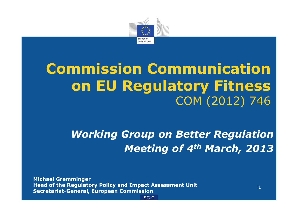

## **Commission Communicationon EU Regulatory Fitness**COM (2012) 746

*Working Group on Better RegulationMeeting of 4th March, 2013*

1

**Michael Gremminger Head of the Regulatory Policy and Impact Assessment UnitSecretariat-General, European Commission**

SG C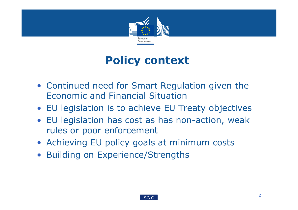

#### **Policy context**

- Continued need for Smart Regulation given the Economic and Financial Situation
- EU legislation is to achieve EU Treaty objectives
- EU legislation has cost as has non-action, weak rules or poor enforcement
- Achieving EU policy goals at minimum costs
- Building on Experience/Strengths

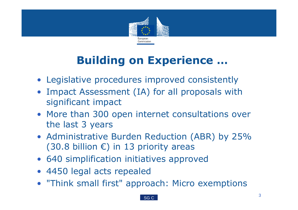

## **Building on Experience …**

- Legislative procedures improved consistently
- Impact Assessment (IA) for all proposals with significant impact
- More than 300 open internet consultations over the last 3 years
- Administrative Burden Reduction (ABR) by 25% (30.8 billion  $\epsilon$ ) in 13 priority areas
- 640 simplification initiatives approved
- 4450 legal acts repealed
- "Think small first" approach: Micro exemptions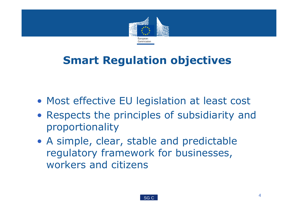

#### **Smart Regulation objectives**

- Most effective EU legislation at least cost
- Respects the principles of subsidiarity and proportionality
- A simple, clear, stable and predictable regulatory framework for businesses, workers and citizens

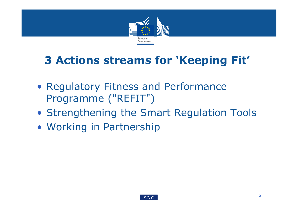

## **3 Actions streams for 'Keeping Fit'**

- Regulatory Fitness and Performance Programme ("REFIT")
- Strengthening the Smart Regulation Tools
- Working in Partnership

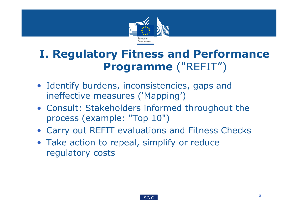

#### **I. Regulatory Fitness and Performance Programme** ("REFIT")

- Identify burdens, inconsistencies, gaps and ineffective measures ('Mapping')
- Consult: Stakeholders informed throughout the process (example: "Top 10")
- Carry out REFIT evaluations and Fitness Checks
- Take action to repeal, simplify or reduce regulatory costs

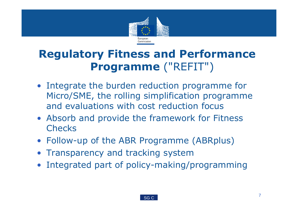

#### **Regulatory Fitness and Performance Programme** ("REFIT")

- Integrate the burden reduction programme for Micro/SME, the rolling simplification programme and evaluations with cost reduction focus
- Absorb and provide the framework for Fitness **Checks**
- Follow-up of the ABR Programme (ABRplus)
- Transparency and tracking system
- Integrated part of policy-making/programming

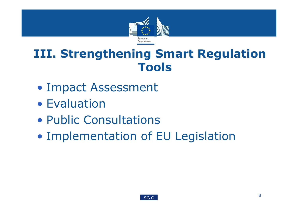

## **III. Strengthening Smart Regulation Tools**

- Impact Assessment
- $\bullet$ Evaluation
- $\bullet$ Public Consultations
- $\bullet$ Implementation of EU Legislation

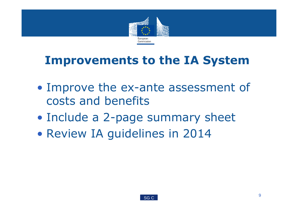

## **Improvements to the IA System**

- $\bullet$ • Improve the ex-ante assessment of costs and benefits
- $\bullet$ Include a 2-page summary sheet
- $\bullet$ Review IA guidelines in 2014

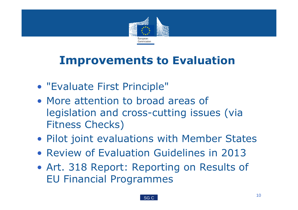

# **Improvements to Evaluation**

- "Evaluate First Principle"
- More attention to broad areas of legislation and cross-cutting issues (via Fitness Checks)
- Pilot joint evaluations with Member States
- Review of Evaluation Guidelines in 2013
- Art. 318 Report: Reporting on Results of EU Financial Programmes

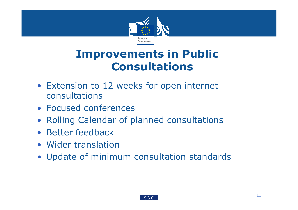

#### **Improvements in Public Consultations**

- Extension to 12 weeks for open internet consultations
- Focused conferences
- Rolling Calendar of planned consultations
- Better feedback
- Wider translation
- Update of minimum consultation standards

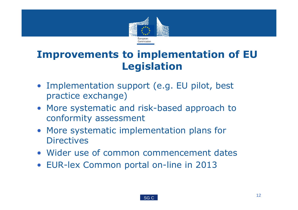

#### **Improvements to implementation of EU Legislation**

- Implementation support (e.g. EU pilot, best practice exchange)
- More systematic and risk-based approach to conformity assessment
- More systematic implementation plans for **Directives**
- Wider use of common commencement dates
- EUR-lex Common portal on-line in 2013

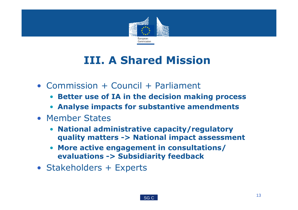

## **III. A Shared Mission**

- Commission + Council + Parliament
	- **Better use of IA in the decision making process**
	- **Analyse impacts for substantive amendments**
- Member States
	- **National administrative capacity/regulatory quality matters -> National impact assessment**
	- $\bullet$  **More active engagement in consultations/ evaluations -> Subsidiarity feedback**
- Stakeholders + Experts